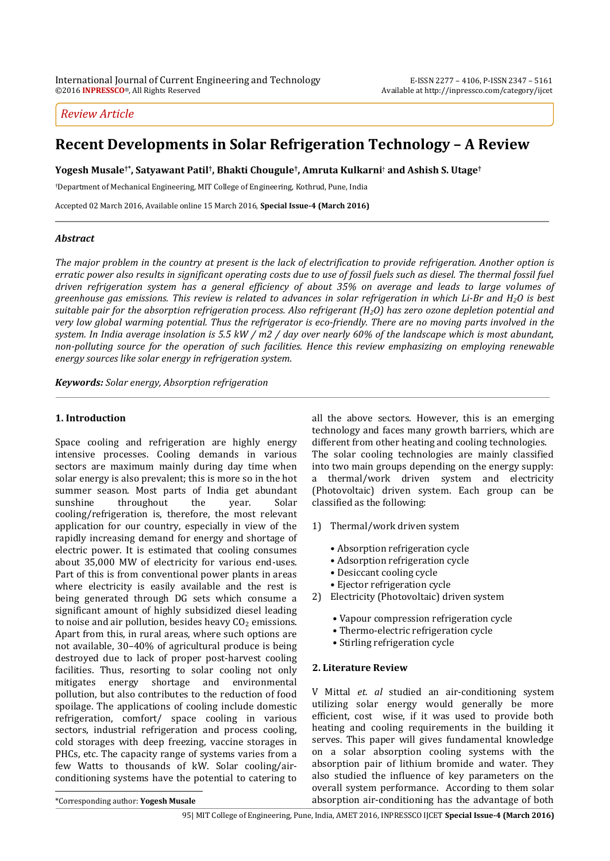## *Review Article*

# **Recent Developments in Solar Refrigeration Technology – A Review**

**Yogesh Musale†\*, Satyawant Patil† , Bhakti Chougule† , Amruta Kulkarni**† **and Ashish S. Utage†**

†Department of Mechanical Engineering, MIT College of Engineering, Kothrud, Pune, India

Accepted 02 March 2016, Available online 15 March 2016, **Special Issue-4 (March 2016)**

## *Abstract*

*The major problem in the country at present is the lack of electrification to provide refrigeration. Another option is erratic power also results in significant operating costs due to use of fossil fuels such as diesel. The thermal fossil fuel driven refrigeration system has a general efficiency of about 35% on average and leads to large volumes of greenhouse gas emissions. This review is related to advances in solar refrigeration in which Li-Br and H2O is best suitable pair for the absorption refrigeration process. Also refrigerant (H2O) has zero ozone depletion potential and very low global warming potential. Thus the refrigerator is eco-friendly. There are no moving parts involved in the system. In India average insolation is 5.5 kW / m2 / day over nearly 60% of the landscape which is most abundant, non-polluting source for the operation of such facilities. Hence this review emphasizing on employing renewable energy sources like solar energy in refrigeration system.* 

*Keywords: Solar energy, Absorption refrigeration* 

## **1. Introduction**

Space cooling and refrigeration are highly energy intensive processes. Cooling demands in various sectors are maximum mainly during day time when solar energy is also prevalent; this is more so in the hot summer season. Most parts of India get abundant sunshine throughout the year. Solar cooling/refrigeration is, therefore, the most relevant application for our country, especially in view of the rapidly increasing demand for energy and shortage of electric power. It is estimated that cooling consumes about 35,000 MW of electricity for various end-uses. Part of this is from conventional power plants in areas where electricity is easily available and the rest is being generated through DG sets which consume a significant amount of highly subsidized diesel leading to noise and air pollution, besides heavy  $CO<sub>2</sub>$  emissions. Apart from this, in rural areas, where such options are not available, 30–40% of agricultural produce is being destroyed due to lack of proper post-harvest cooling facilities. Thus, resorting to solar cooling not only mitigates energy shortage and environmental pollution, but also contributes to the reduction of food spoilage. The applications of cooling include domestic refrigeration, comfort/ space cooling in various sectors, industrial refrigeration and process cooling, cold storages with deep freezing, vaccine storages in PHCs, etc. The capacity range of systems varies from a few Watts to thousands of kW. Solar cooling/airconditioning systems have the potential to catering to  $\overline{a}$ 

all the above sectors. However, this is an emerging technology and faces many growth barriers, which are different from other heating and cooling technologies. The solar cooling technologies are mainly classified into two main groups depending on the energy supply: a thermal/work driven system and electricity (Photovoltaic) driven system. Each group can be classified as the following:

- 1) Thermal/work driven system
	- Absorption refrigeration cycle
	- Adsorption refrigeration cycle
	- Desiccant cooling cycle
	- Ejector refrigeration cycle
- 2) Electricity (Photovoltaic) driven system
	- Vapour compression refrigeration cycle
	- Thermo-electric refrigeration cycle
	- Stirling refrigeration cycle

## **2. Literature Review**

V Mittal *et. al* studied an air-conditioning system utilizing solar energy would generally be more efficient, cost wise, if it was used to provide both heating and cooling requirements in the building it serves. This paper will gives fundamental knowledge on a solar absorption cooling systems with the absorption pair of lithium bromide and water. They also studied the influence of key parameters on the overall system performance. According to them solar absorption air-conditioning has the advantage of both

\*Corresponding author: **Yogesh Musale**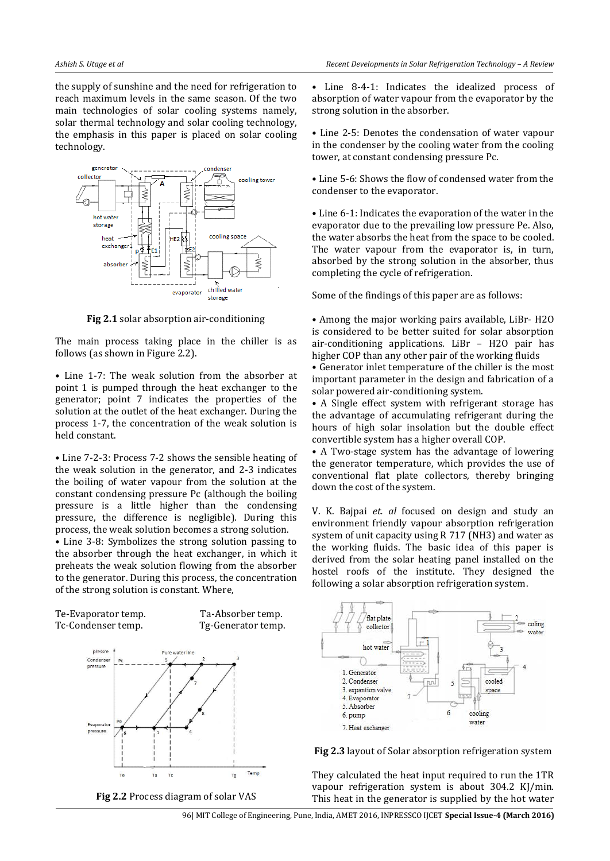the supply of sunshine and the need for refrigeration to reach maximum levels in the same season. Of the two main technologies of solar cooling systems namely, solar thermal technology and solar cooling technology, the emphasis in this paper is placed on solar cooling technology.



**Fig 2.1** solar absorption air-conditioning

The main process taking place in the chiller is as follows (as shown in Figure 2.2).

• Line 1-7: The weak solution from the absorber at point 1 is pumped through the heat exchanger to the generator; point 7 indicates the properties of the solution at the outlet of the heat exchanger. During the process 1-7, the concentration of the weak solution is held constant.

• Line 7-2-3: Process 7-2 shows the sensible heating of the weak solution in the generator, and 2-3 indicates the boiling of water vapour from the solution at the constant condensing pressure Pc (although the boiling pressure is a little higher than the condensing pressure, the difference is negligible). During this process, the weak solution becomes a strong solution.

• Line 3-8: Symbolizes the strong solution passing to the absorber through the heat exchanger, in which it preheats the weak solution flowing from the absorber to the generator. During this process, the concentration of the strong solution is constant. Where,



• Line 8-4-1: Indicates the idealized process of absorption of water vapour from the evaporator by the strong solution in the absorber.

• Line 2-5: Denotes the condensation of water vapour in the condenser by the cooling water from the cooling tower, at constant condensing pressure Pc.

• Line 5-6: Shows the flow of condensed water from the condenser to the evaporator.

• Line 6-1: Indicates the evaporation of the water in the evaporator due to the prevailing low pressure Pe. Also, the water absorbs the heat from the space to be cooled. The water vapour from the evaporator is, in turn, absorbed by the strong solution in the absorber, thus completing the cycle of refrigeration.

Some of the findings of this paper are as follows:

• Among the major working pairs available, LiBr- H2O is considered to be better suited for solar absorption air-conditioning applications. LiBr – H2O pair has higher COP than any other pair of the working fluids

• Generator inlet temperature of the chiller is the most important parameter in the design and fabrication of a solar powered air-conditioning system.

• A Single effect system with refrigerant storage has the advantage of accumulating refrigerant during the hours of high solar insolation but the double effect convertible system has a higher overall COP.

• A Two-stage system has the advantage of lowering the generator temperature, which provides the use of conventional flat plate collectors, thereby bringing down the cost of the system.

V. K. Bajpai *et. al* focused on design and study an environment friendly vapour absorption refrigeration system of unit capacity using R 717 (NH3) and water as the working fluids. The basic idea of this paper is derived from the solar heating panel installed on the hostel roofs of the institute. They designed the following a solar absorption refrigeration system.





They calculated the heat input required to run the 1TR vapour refrigeration system is about 304.2 KJ/min. This heat in the generator is supplied by the hot water

96| MIT College of Engineering, Pune, India, AMET 2016, INPRESSCO IJCET **Special Issue-4 (March 2016)**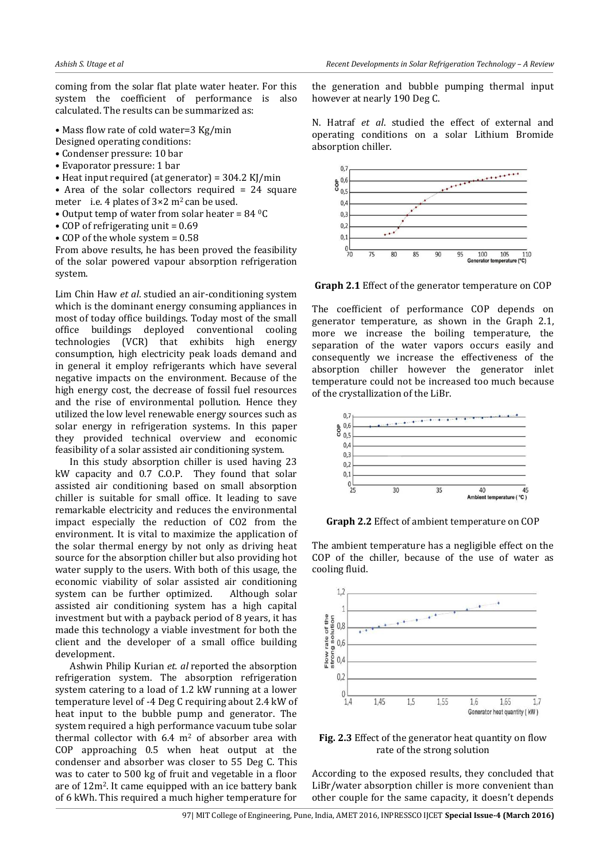coming from the solar flat plate water heater. For this system the coefficient of performance is also calculated. The results can be summarized as:

- Mass flow rate of cold water=3 Kg/min
- Designed operating conditions:
- Condenser pressure: 10 bar
- Evaporator pressure: 1 bar
- Heat input required (at generator) = 304.2 KJ/min
- Area of the solar collectors required  $= 24$  square meter i.e. 4 plates of  $3 \times 2$  m<sup>2</sup> can be used.
- Output temp of water from solar heater =  $84 \text{ }^{\circ}$ C
- COP of refrigerating unit  $= 0.69$
- COP of the whole system = 0.58

From above results, he has been proved the feasibility of the solar powered vapour absorption refrigeration system.

Lim Chin Haw *et al*. studied an air-conditioning system which is the dominant energy consuming appliances in most of today office buildings. Today most of the small office buildings deployed conventional cooling technologies (VCR) that exhibits high energy consumption, high electricity peak loads demand and in general it employ refrigerants which have several negative impacts on the environment. Because of the high energy cost, the decrease of fossil fuel resources and the rise of environmental pollution. Hence they utilized the low level renewable energy sources such as solar energy in refrigeration systems. In this paper they provided technical overview and economic feasibility of a solar assisted air conditioning system.

 In this study absorption chiller is used having 23 kW capacity and 0.7 C.O.P. They found that solar assisted air conditioning based on small absorption chiller is suitable for small office. It leading to save remarkable electricity and reduces the environmental impact especially the reduction of CO2 from the environment. It is vital to maximize the application of the solar thermal energy by not only as driving heat source for the absorption chiller but also providing hot water supply to the users. With both of this usage, the economic viability of solar assisted air conditioning system can be further optimized. Although solar assisted air conditioning system has a high capital investment but with a payback period of 8 years, it has made this technology a viable investment for both the client and the developer of a small office building development.

Ashwin Philip Kurian *et. al* reported the absorption refrigeration system. The absorption refrigeration system catering to a load of 1.2 kW running at a lower temperature level of -4 Deg C requiring about 2.4 kW of heat input to the bubble pump and generator. The system required a high performance vacuum tube solar thermal collector with  $6.4 \text{ m}^2$  of absorber area with COP approaching 0.5 when heat output at the condenser and absorber was closer to 55 Deg C. This was to cater to 500 kg of fruit and vegetable in a floor are of 12m2. It came equipped with an ice battery bank of 6 kWh. This required a much higher temperature for the generation and bubble pumping thermal input however at nearly 190 Deg C.

N. Hatraf *et al*. studied the effect of external and operating conditions on a solar Lithium Bromide absorption chiller.



**Graph 2.1** Effect of the generator temperature on COP

The coefficient of performance COP depends on generator temperature, as shown in the Graph 2.1, more we increase the boiling temperature, the separation of the water vapors occurs easily and consequently we increase the effectiveness of the absorption chiller however the generator inlet temperature could not be increased too much because of the crystallization of the LiBr.



**Graph 2.2** Effect of ambient temperature on COP

The ambient temperature has a negligible effect on the COP of the chiller, because of the use of water as cooling fluid.



**Fig. 2.3** Effect of the generator heat quantity on flow rate of the strong solution

According to the exposed results, they concluded that LiBr/water absorption chiller is more convenient than other couple for the same capacity, it doesn't depends